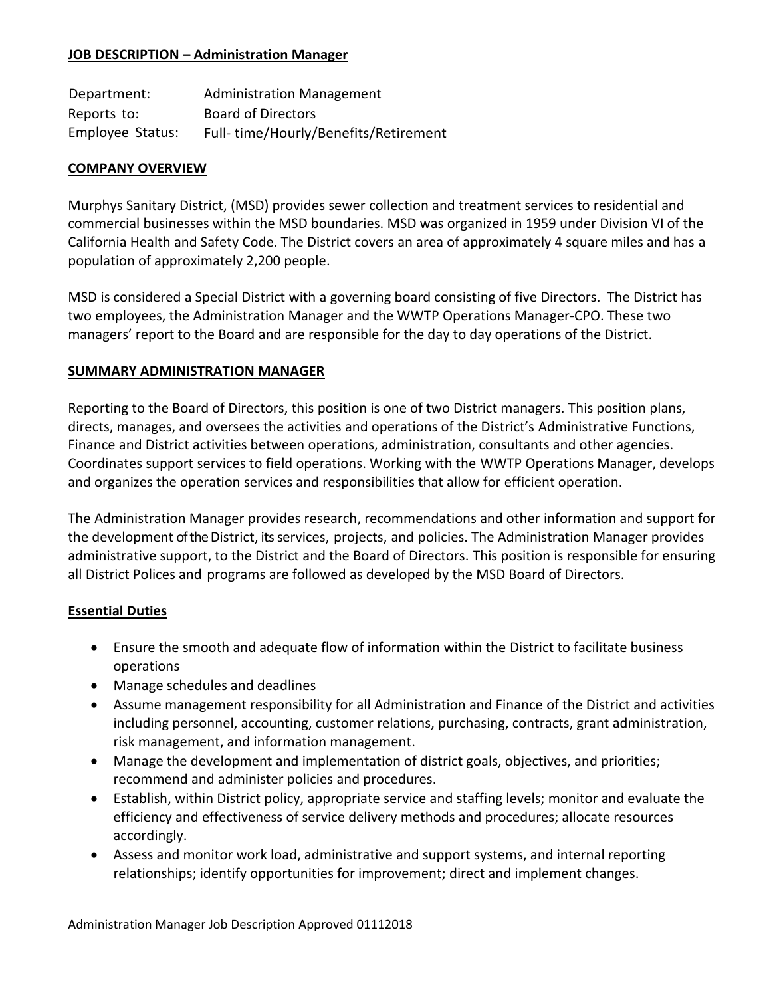### **JOB DESCRIPTION – Administration Manager**

| Department:      | <b>Administration Management</b>     |
|------------------|--------------------------------------|
| Reports to:      | <b>Board of Directors</b>            |
| Employee Status: | Full-time/Hourly/Benefits/Retirement |

#### **COMPANY OVERVIEW**

Murphys Sanitary District, (MSD) provides sewer collection and treatment services to residential and commercial businesses within the MSD boundaries. MSD was organized in 1959 under Division VI of the California Health and Safety Code. The District covers an area of approximately 4 square miles and has a population of approximately 2,200 people.

MSD is considered a Special District with a governing board consisting of five Directors. The District has two employees, the Administration Manager and the WWTP Operations Manager-CPO. These two managers' report to the Board and are responsible for the day to day operations of the District.

#### **SUMMARY ADMINISTRATION MANAGER**

Reporting to the Board of Directors, this position is one of two District managers. This position plans, directs, manages, and oversees the activities and operations of the District's Administrative Functions, Finance and District activities between operations, administration, consultants and other agencies. Coordinates support services to field operations. Working with the WWTP Operations Manager, develops and organizes the operation services and responsibilities that allow for efficient operation.

The Administration Manager provides research, recommendations and other information and support for the development of the District, its services, projects, and policies. The Administration Manager provides administrative support, to the District and the Board of Directors. This position is responsible for ensuring all District Polices and programs are followed as developed by the MSD Board of Directors.

## **Essential Duties**

- Ensure the smooth and adequate flow of information within the District to facilitate business operations
- Manage schedules and deadlines
- Assume management responsibility for all Administration and Finance of the District and activities including personnel, accounting, customer relations, purchasing, contracts, grant administration, risk management, and information management.
- Manage the development and implementation of district goals, objectives, and priorities; recommend and administer policies and procedures.
- Establish, within District policy, appropriate service and staffing levels; monitor and evaluate the efficiency and effectiveness of service delivery methods and procedures; allocate resources accordingly.
- Assess and monitor work load, administrative and support systems, and internal reporting relationships; identify opportunities for improvement; direct and implement changes.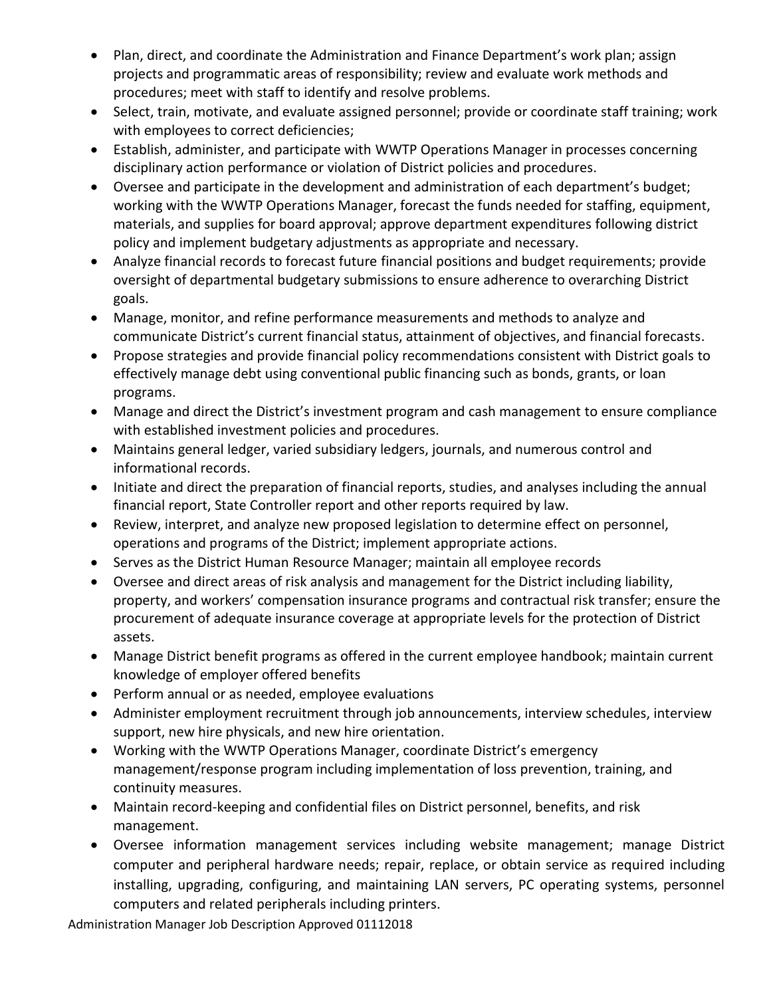- Plan, direct, and coordinate the Administration and Finance Department's work plan; assign projects and programmatic areas of responsibility; review and evaluate work methods and procedures; meet with staff to identify and resolve problems.
- Select, train, motivate, and evaluate assigned personnel; provide or coordinate staff training; work with employees to correct deficiencies;
- Establish, administer, and participate with WWTP Operations Manager in processes concerning disciplinary action performance or violation of District policies and procedures.
- Oversee and participate in the development and administration of each department's budget; working with the WWTP Operations Manager, forecast the funds needed for staffing, equipment, materials, and supplies for board approval; approve department expenditures following district policy and implement budgetary adjustments as appropriate and necessary.
- Analyze financial records to forecast future financial positions and budget requirements; provide oversight of departmental budgetary submissions to ensure adherence to overarching District goals.
- Manage, monitor, and refine performance measurements and methods to analyze and communicate District's current financial status, attainment of objectives, and financial forecasts.
- Propose strategies and provide financial policy recommendations consistent with District goals to effectively manage debt using conventional public financing such as bonds, grants, or loan programs.
- Manage and direct the District's investment program and cash management to ensure compliance with established investment policies and procedures.
- Maintains general ledger, varied subsidiary ledgers, journals, and numerous control and informational records.
- Initiate and direct the preparation of financial reports, studies, and analyses including the annual financial report, State Controller report and other reports required by law.
- Review, interpret, and analyze new proposed legislation to determine effect on personnel, operations and programs of the District; implement appropriate actions.
- Serves as the District Human Resource Manager; maintain all employee records
- Oversee and direct areas of risk analysis and management for the District including liability, property, and workers' compensation insurance programs and contractual risk transfer; ensure the procurement of adequate insurance coverage at appropriate levels for the protection of District assets.
- Manage District benefit programs as offered in the current employee handbook; maintain current knowledge of employer offered benefits
- Perform annual or as needed, employee evaluations
- Administer employment recruitment through job announcements, interview schedules, interview support, new hire physicals, and new hire orientation.
- Working with the WWTP Operations Manager, coordinate District's emergency management/response program including implementation of loss prevention, training, and continuity measures.
- Maintain record-keeping and confidential files on District personnel, benefits, and risk management.
- Oversee information management services including website management; manage District computer and peripheral hardware needs; repair, replace, or obtain service as required including installing, upgrading, configuring, and maintaining LAN servers, PC operating systems, personnel computers and related peripherals including printers.

Administration Manager Job Description Approved 01112018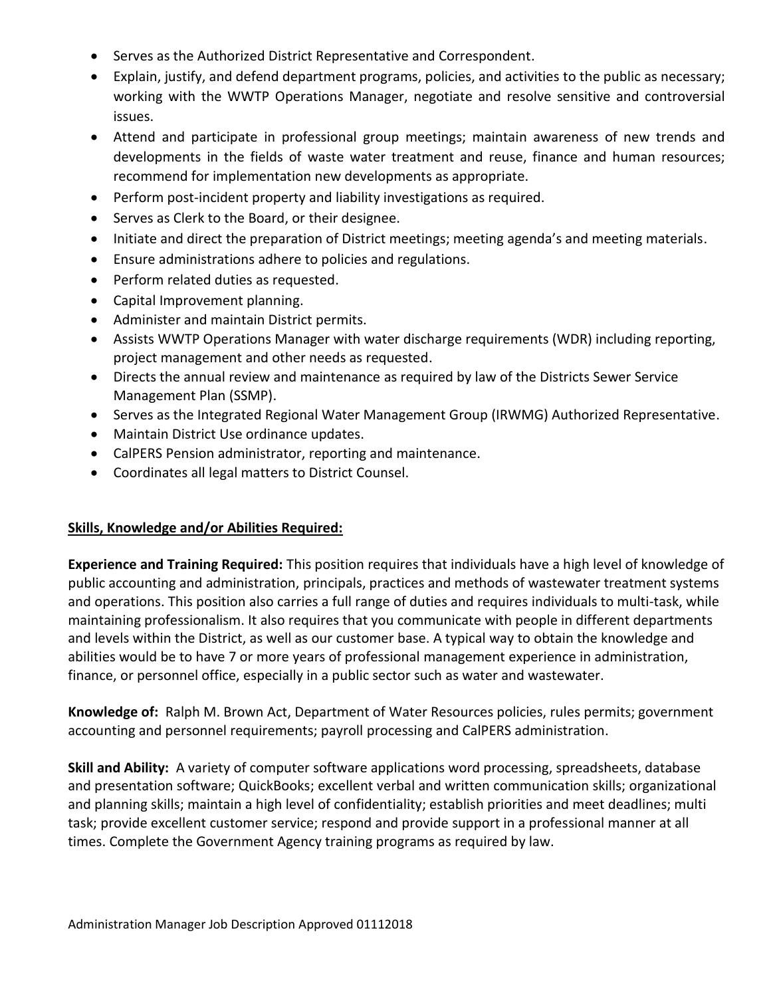- Serves as the Authorized District Representative and Correspondent.
- Explain, justify, and defend department programs, policies, and activities to the public as necessary; working with the WWTP Operations Manager, negotiate and resolve sensitive and controversial issues.
- Attend and participate in professional group meetings; maintain awareness of new trends and developments in the fields of waste water treatment and reuse, finance and human resources; recommend for implementation new developments as appropriate.
- Perform post-incident property and liability investigations as required.
- Serves as Clerk to the Board, or their designee.
- Initiate and direct the preparation of District meetings; meeting agenda's and meeting materials.
- Ensure administrations adhere to policies and regulations.
- Perform related duties as requested.
- Capital Improvement planning.
- Administer and maintain District permits.
- Assists WWTP Operations Manager with water discharge requirements (WDR) including reporting, project management and other needs as requested.
- Directs the annual review and maintenance as required by law of the Districts Sewer Service Management Plan (SSMP).
- Serves as the Integrated Regional Water Management Group (IRWMG) Authorized Representative.
- Maintain District Use ordinance updates.
- CalPERS Pension administrator, reporting and maintenance.
- Coordinates all legal matters to District Counsel.

## **Skills, Knowledge and/or Abilities Required:**

**Experience and Training Required:** This position requires that individuals have a high level of knowledge of public accounting and administration, principals, practices and methods of wastewater treatment systems and operations. This position also carries a full range of duties and requires individuals to multi-task, while maintaining professionalism. It also requires that you communicate with people in different departments and levels within the District, as well as our customer base. A typical way to obtain the knowledge and abilities would be to have 7 or more years of professional management experience in administration, finance, or personnel office, especially in a public sector such as water and wastewater.

**Knowledge of:** Ralph M. Brown Act, Department of Water Resources policies, rules permits; government accounting and personnel requirements; payroll processing and CalPERS administration.

**Skill and Ability:** A variety of computer software applications word processing, spreadsheets, database and presentation software; QuickBooks; excellent verbal and written communication skills; organizational and planning skills; maintain a high level of confidentiality; establish priorities and meet deadlines; multi task; provide excellent customer service; respond and provide support in a professional manner at all times. Complete the Government Agency training programs as required by law.